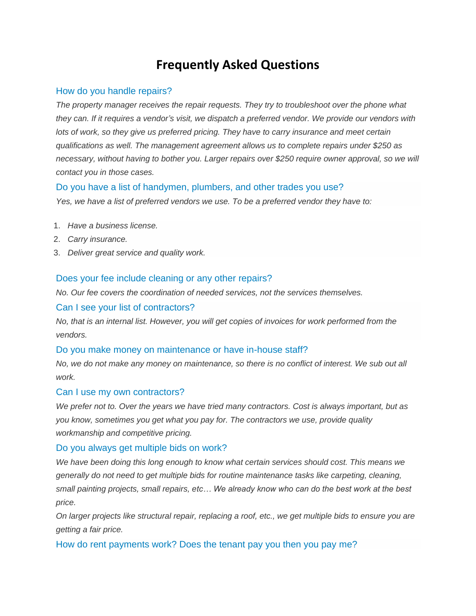# **Frequently Asked Questions**

# How do you handle repairs?

*The property manager receives the repair requests. They try to troubleshoot over the phone what they can. If it requires a vendor's visit, we dispatch a preferred vendor. We provide our vendors with lots of work, so they give us preferred pricing. They have to carry insurance and meet certain qualifications as well. The management agreement allows us to complete repairs under \$250 as necessary, without having to bother you. Larger repairs over \$250 require owner approval, so we will contact you in those cases.*

# Do you have a list of handymen, plumbers, and other trades you use?

*Yes, we have a list of preferred vendors we use. To be a preferred vendor they have to:*

- 1. *Have a business license.*
- 2. *Carry insurance.*
- 3. *Deliver great service and quality work.*

# Does your fee include cleaning or any other repairs?

*No. Our fee covers the coordination of needed services, not the services themselves.*

### Can I see your list of contractors?

*No, that is an internal list. However, you will get copies of invoices for work performed from the vendors.*

#### Do you make money on maintenance or have in-house staff?

*No, we do not make any money on maintenance, so there is no conflict of interest. We sub out all work.*

#### Can I use my own contractors?

*We prefer not to. Over the years we have tried many contractors. Cost is always important, but as you know, sometimes you get what you pay for. The contractors we use, provide quality workmanship and competitive pricing.*

#### Do you always get multiple bids on work?

*We have been doing this long enough to know what certain services should cost. This means we generally do not need to get multiple bids for routine maintenance tasks like carpeting, cleaning, small painting projects, small repairs, etc… We already know who can do the best work at the best price.*

*On larger projects like structural repair, replacing a roof, etc., we get multiple bids to ensure you are getting a fair price.*

# How do rent payments work? Does the tenant pay you then you pay me?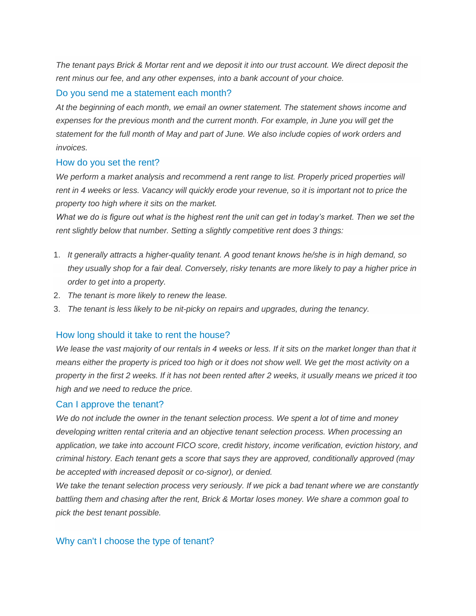*The tenant pays Brick & Mortar rent and we deposit it into our trust account. We direct deposit the rent minus our fee, and any other expenses, into a bank account of your choice.*

# Do you send me a statement each month?

*At the beginning of each month, we email an owner statement. The statement shows income and expenses for the previous month and the current month. For example, in June you will get the statement for the full month of May and part of June. We also include copies of work orders and invoices.*

# How do you set the rent?

We perform a market analysis and recommend a rent range to list. Properly priced properties will *rent in 4 weeks or less. Vacancy will quickly erode your revenue, so it is important not to price the property too high where it sits on the market.*

*What we do is figure out what is the highest rent the unit can get in today's market. Then we set the rent slightly below that number. Setting a slightly competitive rent does 3 things:*

- 1. *It generally attracts a higher-quality tenant. A good tenant knows he/she is in high demand, so they usually shop for a fair deal. Conversely, risky tenants are more likely to pay a higher price in order to get into a property.*
- 2. *The tenant is more likely to renew the lease.*
- 3. *The tenant is less likely to be nit-picky on repairs and upgrades, during the tenancy.*

# How long should it take to rent the house?

*We lease the vast majority of our rentals in 4 weeks or less. If it sits on the market longer than that it means either the property is priced too high or it does not show well. We get the most activity on a property in the first 2 weeks. If it has not been rented after 2 weeks, it usually means we priced it too high and we need to reduce the price.*

# Can I approve the tenant?

*We do not include the owner in the tenant selection process. We spent a lot of time and money developing written rental criteria and an objective tenant selection process. When processing an application, we take into account FICO score, credit history, income verification, eviction history, and criminal history. Each tenant gets a score that says they are approved, conditionally approved (may be accepted with increased deposit or co-signor), or denied.*

*We take the tenant selection process very seriously. If we pick a bad tenant where we are constantly battling them and chasing after the rent, Brick & Mortar loses money. We share a common goal to pick the best tenant possible.*

# Why can't I choose the type of tenant?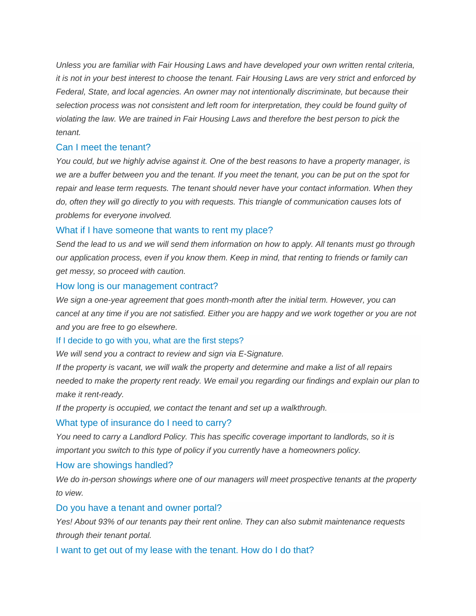*Unless you are familiar with Fair Housing Laws and have developed your own written rental criteria, it is not in your best interest to choose the tenant. Fair Housing Laws are very strict and enforced by Federal, State, and local agencies. An owner may not intentionally discriminate, but because their selection process was not consistent and left room for interpretation, they could be found guilty of violating the law. We are trained in Fair Housing Laws and therefore the best person to pick the tenant.*

#### Can I meet the tenant?

*You could, but we highly advise against it. One of the best reasons to have a property manager, is we are a buffer between you and the tenant. If you meet the tenant, you can be put on the spot for repair and lease term requests. The tenant should never have your contact information. When they do, often they will go directly to you with requests. This triangle of communication causes lots of problems for everyone involved.*

#### What if I have someone that wants to rent my place?

*Send the lead to us and we will send them information on how to apply. All tenants must go through our application process, even if you know them. Keep in mind, that renting to friends or family can get messy, so proceed with caution.*

#### How long is our management contract?

*We sign a one-year agreement that goes month-month after the initial term. However, you can cancel at any time if you are not satisfied. Either you are happy and we work together or you are not and you are free to go elsewhere.*

#### If I decide to go with you, what are the first steps?

*We will send you a contract to review and sign via E-Signature.*

*If the property is vacant, we will walk the property and determine and make a list of all repairs needed to make the property rent ready. We email you regarding our findings and explain our plan to make it rent-ready.*

*If the property is occupied, we contact the tenant and set up a walkthrough.*

#### What type of insurance do I need to carry?

*You need to carry a Landlord Policy. This has specific coverage important to landlords, so it is important you switch to this type of policy if you currently have a homeowners policy.*

#### How are showings handled?

*We do in-person showings where one of our managers will meet prospective tenants at the property to view.* 

#### Do you have a tenant and owner portal?

*Yes! About 93% of our tenants pay their rent online. They can also submit maintenance requests through their tenant portal.*

I want to get out of my lease with the tenant. How do I do that?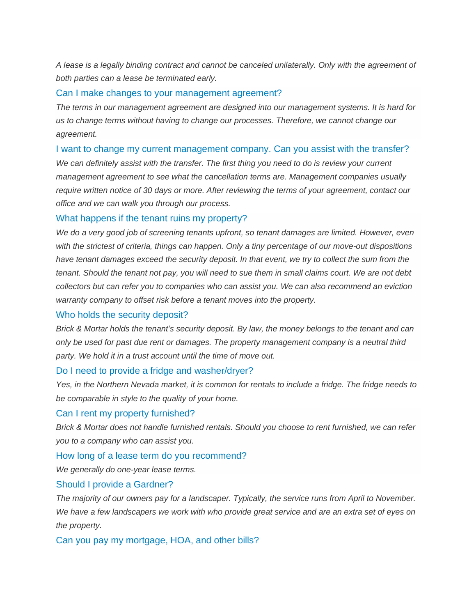*A lease is a legally binding contract and cannot be canceled unilaterally. Only with the agreement of both parties can a lease be terminated early.*

#### Can I make changes to your management agreement?

*The terms in our management agreement are designed into our management systems. It is hard for us to change terms without having to change our processes. Therefore, we cannot change our agreement.* 

#### I want to change my current management company. Can you assist with the transfer?

*We can definitely assist with the transfer. The first thing you need to do is review your current management agreement to see what the cancellation terms are. Management companies usually require written notice of 30 days or more. After reviewing the terms of your agreement, contact our office and we can walk you through our process.*

#### What happens if the tenant ruins my property?

*We do a very good job of screening tenants upfront, so tenant damages are limited. However, even with the strictest of criteria, things can happen. Only a tiny percentage of our move-out dispositions*  have tenant damages exceed the security deposit. In that event, we try to collect the sum from the *tenant. Should the tenant not pay, you will need to sue them in small claims court. We are not debt collectors but can refer you to companies who can assist you. We can also recommend an eviction warranty company to offset risk before a tenant moves into the property.* 

#### Who holds the security deposit?

*Brick & Mortar holds the tenant's security deposit. By law, the money belongs to the tenant and can only be used for past due rent or damages. The property management company is a neutral third party. We hold it in a trust account until the time of move out.*

#### Do I need to provide a fridge and washer/dryer?

*Yes, in the Northern Nevada market, it is common for rentals to include a fridge. The fridge needs to be comparable in style to the quality of your home.*

#### Can I rent my property furnished?

*Brick & Mortar does not handle furnished rentals. Should you choose to rent furnished, we can refer you to a company who can assist you.*

#### How long of a lease term do you recommend?

*We generally do one-year lease terms.*

#### Should I provide a Gardner?

*The majority of our owners pay for a landscaper. Typically, the service runs from April to November. We have a few landscapers we work with who provide great service and are an extra set of eyes on the property.*

Can you pay my mortgage, HOA, and other bills?